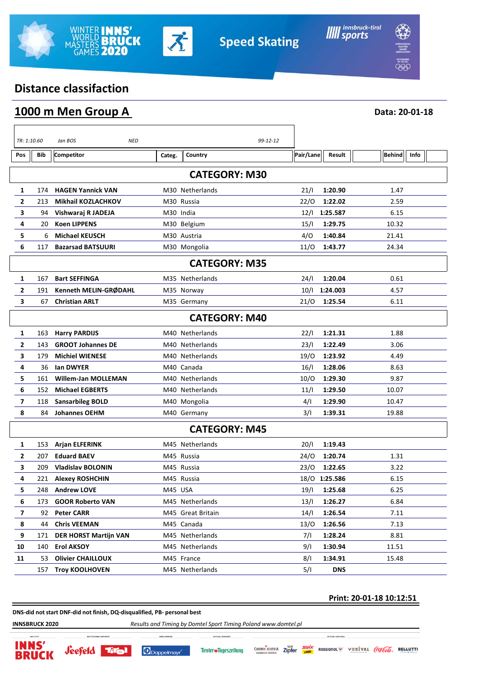



**Data: 20-01-18**

# **Distance classifaction**

|  |  |  |  | 1000 m Men Group A |  |
|--|--|--|--|--------------------|--|
|--|--|--|--|--------------------|--|

| TR: 1:10.60             |                      | Jan BOS<br><b>NED</b>        |            |                      | 99-12-12 |           |               |               |      |
|-------------------------|----------------------|------------------------------|------------|----------------------|----------|-----------|---------------|---------------|------|
| Pos                     | Bib                  | <b>Competitor</b>            | Categ.     | Country              |          | Pair/Lane | Result        | <b>Behind</b> | Info |
|                         | <b>CATEGORY: M30</b> |                              |            |                      |          |           |               |               |      |
| 1                       | 174                  | <b>HAGEN Yannick VAN</b>     |            | M30 Netherlands      |          | 21/1      | 1:20.90       | 1.47          |      |
| $\overline{\mathbf{2}}$ | 213                  | <b>Mikhail KOZLACHKOV</b>    |            | M30 Russia           |          | 22/0      | 1:22.02       | 2.59          |      |
| 3                       | 94                   | Vishwaraj R JADEJA           | M30 India  |                      |          |           | 12/l 1:25.587 | 6.15          |      |
| 4                       | 20                   | <b>Koen LIPPENS</b>          |            | M30 Belgium          |          | 15/1      | 1:29.75       | 10.32         |      |
| 5                       | 6                    | <b>Michael KEUSCH</b>        |            | M30 Austria          |          | 4/0       | 1:40.84       | 21.41         |      |
| 6                       | 117                  | <b>Bazarsad BATSUURI</b>     |            | M30 Mongolia         |          | 11/0      | 1:43.77       | 24.34         |      |
|                         |                      |                              |            | <b>CATEGORY: M35</b> |          |           |               |               |      |
| 1                       | 167                  | <b>Bart SEFFINGA</b>         |            | M35 Netherlands      |          | 24/1      | 1:20.04       | 0.61          |      |
| $\mathbf{2}$            | 191                  | Kenneth MELIN-GRØDAHL        |            | M35 Norway           |          | 10/1      | 1:24.003      | 4.57          |      |
| 3                       | 67                   | <b>Christian ARLT</b>        |            | M35 Germany          |          | 21/0      | 1:25.54       | 6.11          |      |
| <b>CATEGORY: M40</b>    |                      |                              |            |                      |          |           |               |               |      |
| 1                       | 163                  | <b>Harry PARDIJS</b>         |            | M40 Netherlands      |          | 22/1      | 1:21.31       | 1.88          |      |
| 2                       | 143                  | <b>GROOT Johannes DE</b>     |            | M40 Netherlands      |          | 23/1      | 1:22.49       | 3.06          |      |
| 3                       | 179                  | <b>Michiel WIENESE</b>       |            | M40 Netherlands      |          | 19/0      | 1:23.92       | 4.49          |      |
| 4                       | 36                   | lan DWYER                    |            | M40 Canada           |          | 16/1      | 1:28.06       | 8.63          |      |
| 5                       | 161                  | <b>Willem-Jan MOLLEMAN</b>   |            | M40 Netherlands      |          | 10/O      | 1:29.30       | 9.87          |      |
| 6                       | 152                  | <b>Michael EGBERTS</b>       |            | M40 Netherlands      |          | 11/1      | 1:29.50       | 10.07         |      |
| 7                       | 118                  | <b>Sansarbileg BOLD</b>      |            | M40 Mongolia         |          | 4/1       | 1:29.90       | 10.47         |      |
| 8                       | 84                   | <b>Johannes OEHM</b>         |            | M40 Germany          |          | 3/1       | 1:39.31       | 19.88         |      |
| <b>CATEGORY: M45</b>    |                      |                              |            |                      |          |           |               |               |      |
| 1                       | 153                  | <b>Arjan ELFERINK</b>        |            | M45 Netherlands      |          | 20/1      | 1:19.43       |               |      |
| 2                       | 207                  | <b>Eduard BAEV</b>           | M45 Russia |                      |          | 24/O      | 1:20.74       | 1.31          |      |
| 3                       | 209                  | <b>Vladislav BOLONIN</b>     | M45 Russia |                      |          | 23/O      | 1:22.65       | 3.22          |      |
| 4                       | 221                  | <b>Alexey ROSHCHIN</b>       | M45 Russia |                      |          |           | 18/0 1:25.586 | 6.15          |      |
| 5                       | 248                  | <b>Andrew LOVE</b>           | M45 USA    |                      |          | 19/1      | 1:25.68       | 6.25          |      |
| 6                       | 173                  | <b>GOOR Roberto VAN</b>      |            | M45 Netherlands      |          | 13/1      | 1:26.27       | 6.84          |      |
| $\overline{\mathbf{z}}$ | 92                   | <b>Peter CARR</b>            |            | M45 Great Britain    |          | 14/1      | 1:26.54       | 7.11          |      |
| 8                       | 44                   | <b>Chris VEEMAN</b>          |            | M45 Canada           |          | 13/0      | 1:26.56       | 7.13          |      |
| 9                       | 171                  | <b>DER HORST Martijn VAN</b> |            | M45 Netherlands      |          | 7/1       | 1:28.24       | 8.81          |      |
| 10                      | 140                  | <b>Erol AKSOY</b>            |            | M45 Netherlands      |          | 9/1       | 1:30.94       | 11.51         |      |
| 11                      | 53                   | <b>Olivier CHAILLOUX</b>     |            | M45 France           |          | 8/1       | 1:34.91       | 15.48         |      |
|                         | 157                  | <b>Troy KOOLHOVEN</b>        |            | M45 Netherlands      |          | 5/1       | <b>DNS</b>    |               |      |

#### **Print: 20-01-18 10:12:51**

**DNS-did not start DNF-did not finish, DQ-disqualified, PB- personal best**

firal

*Seefeld* 

**HAIN SP** 

Doppelmayr

**INNSBRUCK 2020** *Results and Timing by Domtel Sport Timing Poland www.domtel.pl*



OFFICIAL SUPPLIERS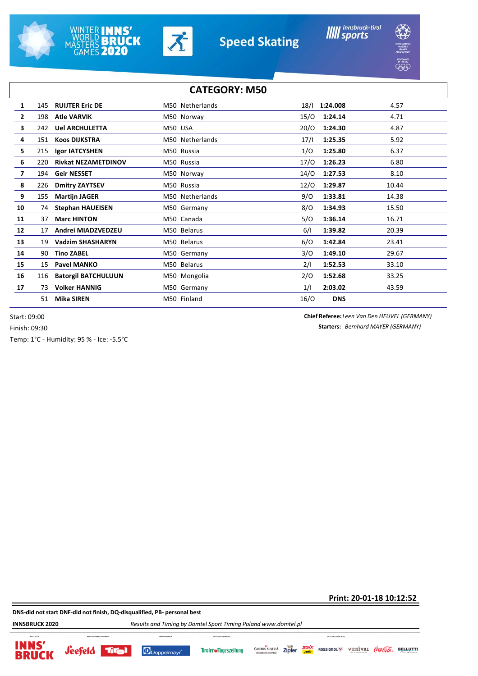







| <b>JNAL</b><br>INTERN<br>MASTI<br>е.<br>оÑ |  |
|--------------------------------------------|--|
|                                            |  |

| <b>CATEGORY: M50</b> |     |                            |                 |      |                  |  |
|----------------------|-----|----------------------------|-----------------|------|------------------|--|
| 1                    | 145 | <b>RUIJTER Eric DE</b>     | M50 Netherlands | 18/1 | 1:24.008<br>4.57 |  |
| $\overline{2}$       | 198 | <b>Atle VARVIK</b>         | M50 Norway      | 15/O | 1:24.14<br>4.71  |  |
| 3                    | 242 | <b>Uel ARCHULETTA</b>      | M50 USA         | 20/0 | 1:24.30<br>4.87  |  |
| 4                    | 151 | <b>Koos DIJKSTRA</b>       | M50 Netherlands | 17/1 | 1:25.35<br>5.92  |  |
| 5                    | 215 | Igor IATCYSHEN             | M50 Russia      | 1/O  | 1:25.80<br>6.37  |  |
| 6                    | 220 | <b>Rivkat NEZAMETDINOV</b> | M50 Russia      | 17/0 | 1:26.23<br>6.80  |  |
| $\overline{7}$       | 194 | <b>Geir NESSET</b>         | M50 Norway      | 14/0 | 1:27.53<br>8.10  |  |
| 8                    | 226 | <b>Dmitry ZAYTSEV</b>      | M50 Russia      | 12/0 | 1:29.87<br>10.44 |  |
| 9                    | 155 | <b>Martijn JAGER</b>       | M50 Netherlands | 9/O  | 1:33.81<br>14.38 |  |
| 10                   | 74  | <b>Stephan HAUEISEN</b>    | M50 Germany     | 8/O  | 1:34.93<br>15.50 |  |
| 11                   | 37  | <b>Marc HINTON</b>         | M50 Canada      | 5/0  | 1:36.14<br>16.71 |  |
| 12                   | 17  | Andrei MIADZVEDZEU         | M50 Belarus     | 6/1  | 1:39.82<br>20.39 |  |
| 13                   | 19  | <b>Vadzim SHASHARYN</b>    | M50 Belarus     | 6/O  | 1:42.84<br>23.41 |  |
| 14                   | 90  | <b>Tino ZABEL</b>          | M50 Germany     | 3/0  | 1:49.10<br>29.67 |  |
| 15                   | 15  | <b>Pavel MANKO</b>         | M50 Belarus     | 2/1  | 1:52.53<br>33.10 |  |
| 16                   | 116 | <b>Batorgil BATCHULUUN</b> | M50 Mongolia    | 2/0  | 1:52.68<br>33.25 |  |
| 17                   | 73  | <b>Volker HANNIG</b>       | M50 Germany     | 1/1  | 2:03.02<br>43.59 |  |
|                      | 51  | <b>Mika SIREN</b>          | M50 Finland     | 16/O | <b>DNS</b>       |  |

Start: 09:00 Finish: 09:30

**Starters:** *Bernhard MAYER (GERMANY)* **Chief Referee:** *Leen Van Den HEUVEL (GERMANY)*

Temp: 1°C - Humidity: 95 % - Ice: -5.5°C

**Print: 20-01-18 10:12:52**

**DNS-did not start DNF-did not finish, DQ-disqualified, PB- personal best**

**INNSBRUCK 2020** *Results and Timing by Domtel Sport Timing Poland www.domtel.pl*

**INNS** 

**BRUCK** 









Zipfer

ROSSIGNOL VERÍVAL COCIOCO BELLUTTI

OFFICIAL SUPPLIERS